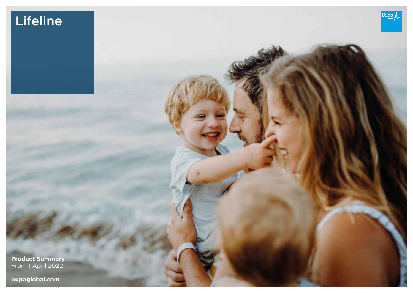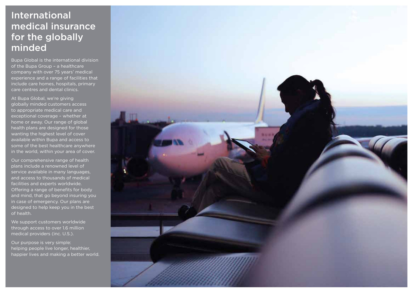# International medical insurance for the globally minded

Bupa Global is the international division of the Bupa Group – a healthcare company with over 75 years' medical experience and a range of facilities that include care homes, hospitals, primary care centres and dental clinics.

At Bupa Global, we're giving globally minded customers access to appropriate medical care and exceptional coverage – whether at home or away. Our range of global health plans are designed for those wanting the highest level of cover available within Bupa and access to some of the best healthcare anywhere in the world, within your area of cover.

Our comprehensive range of health plans include a renowned level of service available in many languages, and access to thousands of medical facilities and experts worldwide. Offering a range of benefits for body and mind, that go beyond insuring you in case of emergency. Our plans are designed to help keep you in the best of health.

We support customers worldwide through access to over 1.6 million medical providers (inc. U.S.).

Our purpose is very simple: helping people live longer, healthier, happier lives and making a better world.

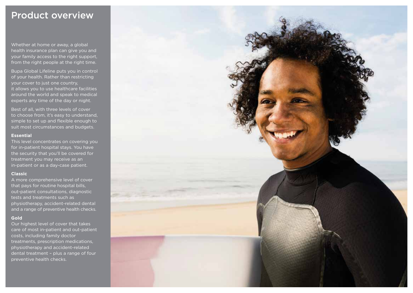# Product overview

Whether at home or away, a global health insurance plan can give you and your family access to the right support, from the right people at the right time.

Bupa Global Lifeline puts you in control of your health. Rather than restricting your cover to just one country, it allows you to use healthcare facilities around the world and speak to medical experts any time of the day or night.

Best of all, with three levels of cover to choose from, it's easy to understand, simple to set up and flexible enough to suit most circumstances and budgets.

#### **Essential**

This level concentrates on covering you for in-patient hospital stays. You have the security that you'll be covered for treatment you may receive as an in-patient or as a day-case patient.

#### **Classic**

A more comprehensive level of cover that pays for routine hospital bills, out-patient consultations, diagnostic tests and treatments such as physiotherapy, accident-related dental and a range of preventive health checks.

#### **Gold**

Our highest level of cover that takes care of most in-patient and out-patient costs, including family doctor treatments, prescription medications, physiotherapy and accident-related dental treatment – plus a range of four preventive health checks.

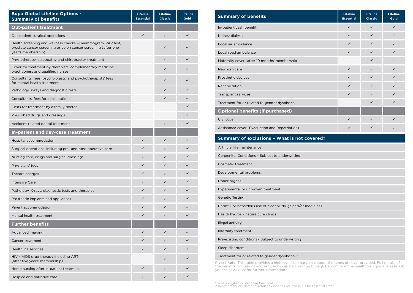| <b>Bupa Global Lifeline Options -</b><br><b>Summary of benefits</b>                                                                                 | <b>Lifeline</b><br><b>Essential</b> | <b>Lifeline</b><br><b>Classic</b> | <b>Lifeline</b><br>Gold |
|-----------------------------------------------------------------------------------------------------------------------------------------------------|-------------------------------------|-----------------------------------|-------------------------|
| <b>Out-patient treatment</b>                                                                                                                        |                                     |                                   |                         |
| Out-patient surgical operations                                                                                                                     | $\checkmark$                        | $\checkmark$                      | $\checkmark$            |
| Health screening and wellness checks - mammogram, PAP test,<br>prostate cancer screening or colon cancer screening (after one<br>year's membership) |                                     | ✓                                 |                         |
| Physiotherapy, osteopathy and chiropractor treatment                                                                                                |                                     | $\checkmark$                      | ✓                       |
| Cover for treatment by therapists, complementary medicine<br>practitioners and qualified nurses                                                     |                                     | ✓                                 | ✓                       |
| Consultants' fees, psychologists' and psychotherapists' fees<br>for mental health treatment                                                         |                                     | ✓                                 | ✓                       |
| Pathology, X-rays and diagnostic tests                                                                                                              |                                     | ✓                                 | ✓                       |
| Consultants' fees for consultations                                                                                                                 |                                     | ✓                                 | ✓                       |
| Costs for treatment by a family doctor                                                                                                              |                                     |                                   | ✓                       |
| Prescribed drugs and dressings                                                                                                                      |                                     |                                   | ✓                       |
| Accident-related dental treatment                                                                                                                   |                                     | $\checkmark$                      | ✓                       |
| In-patient and day-case treatment                                                                                                                   |                                     |                                   |                         |
| Hospital accommodation                                                                                                                              | $\checkmark$                        | $\checkmark$                      | ✓                       |
| Surgical operations, including pre- and post-operative care                                                                                         | ✓                                   | ✓                                 | ✓                       |
| Nursing care, drugs and surgical dressings                                                                                                          | ✓                                   | $\checkmark$                      | ✓                       |
| Physicians' fees                                                                                                                                    | ✓                                   | ✓                                 | ✓                       |
| Theatre charges                                                                                                                                     | ✓                                   | ✓                                 | ✓                       |
| <b>Intensive Care</b>                                                                                                                               | $\checkmark$                        | ✓                                 | ✓                       |
| Pathology, X-rays, diagnostic tests and therapies                                                                                                   | ✓                                   | ✓                                 | ✓                       |
| Prosthetic implants and appliances                                                                                                                  | $\checkmark$                        | ✓                                 | ✓                       |
| Parent accommodation                                                                                                                                | ✓                                   | ✓                                 | ✓                       |
| Mental health treatment                                                                                                                             | $\checkmark$                        | ✓                                 | ✓                       |
| <b>Further benefits</b>                                                                                                                             |                                     |                                   |                         |
| Advanced imaging                                                                                                                                    | ✓                                   | ✓                                 | ✓                       |
| Cancer treatment                                                                                                                                    | ✓                                   | ✓                                 | ✓                       |
| <b>Healthline services</b>                                                                                                                          | $\checkmark$                        | ✓                                 | ✓                       |
| HIV / AIDS drug therapy including ART<br>(after five years' membership)                                                                             |                                     | ✓                                 | ✓                       |
| Home nursing after in-patient treatment                                                                                                             | ✓                                   | ✓                                 | ✓                       |
| Hospice and palliative care                                                                                                                         | $\checkmark$                        | ✓                                 | ✓                       |

| <b>Summary of benefits</b>                     | Lifeline<br><b>Essential</b> | Lifeline<br><b>Classic</b> | Lifeline<br>Gold |
|------------------------------------------------|------------------------------|----------------------------|------------------|
| In-patient cash benefit                        | $\checkmark$                 | $\checkmark$               | $\checkmark$     |
| Kidney dialysis                                | $\checkmark$                 | $\checkmark$               | $\checkmark$     |
| Local air ambulance                            | $\checkmark$                 | $\checkmark$               | $\checkmark$     |
| Local road ambulance                           | $\checkmark$                 | $\checkmark$               | $\checkmark$     |
| Maternity cover (after 10 months' membership)  |                              | $\checkmark$               | $\checkmark$     |
| Newborn care                                   | $\checkmark$                 | $\checkmark$               | $\checkmark$     |
| Prosthetic devices                             | $\checkmark$                 | $\checkmark$               | $\checkmark$     |
| Rehabilitation                                 | $\checkmark$                 | $\checkmark$               | $\checkmark$     |
| Transplant services                            | $\checkmark$                 | $\checkmark$               | $\checkmark$     |
| Treatment for or related to gender dysphoria   |                              | $\checkmark$               | $\checkmark$     |
| <b>Optional benefits (if purchased)</b>        |                              |                            |                  |
| U.S. cover                                     | $\checkmark$                 | $\checkmark$               | $\checkmark$     |
| Assistance cover (Evacuation and Repatriation) | $\checkmark$                 | $\checkmark$               | ✓                |

# **Summary of exclusions – What is not covered?** Artificial life maintenance<sup>1</sup> Congenital Conditions – Subject to underwriting Cosmetic treatment Developmental problems Donor organs Experimental or unproven treatment Genetic Testing Harmful or hazardous use of alcohol, drugs and/or medicines Health hydros / nature cure clinics Illegal activity Infertility treatment Pre-existing conditions - Subject to underwriting Sleep disorders Treatment for or related to gender dysphoria<sup>1, 2</sup>

**Please note:** This table provides a high-level summary only about the types of cover provided. Full details of<br>the benefits, limitations and exclusions can be found on bupaglobal.com or in the health plan guide. Please as

1 unless eligibility criteria has been met 2 treatment for or related to gender dysphoria excluded in full for Essential cover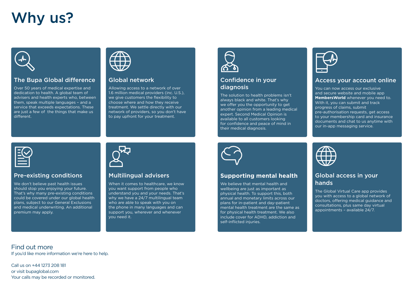# Why us?



## The Bupa Global difference

Over 50 years of medical expertise and dedication to health. A global team of advisers and health experts who, between them, speak multiple languages – and a service that exceeds expectations. These are just a few of the things that make us different.



## Global network

Allowing access to a network of over 1.6 million medical providers (inc. U.S.), we give customers the flexibility to choose where and how they receive treatment. We settle directly with our network of providers, so you don't have to pay upfront for your treatment.



### Confidence in your diagnosis

The solution to health problems isn't always black and white. That's why we offer you the opportunity to get another opinion from a leading medical expert. Second Medical Opinion is available to all customers looking for confidence and peace of mind in their medical diagnosis.



#### Access your account online

You can now access our exclusive and secure website and mobile app **MembersWorld** whenever you need to. With it, you can submit and track progress of claims, submit pre-authorisation requests, get access to your membership card and insurance documents and chat to us anytime with our in-app messaging service.



#### Pre-existing conditions

We don't believe past health issues should stop you enjoying your future. That's why many pre-existing conditions could be covered under our global health plans, subject to our General Exclusions and medical underwriting. An additional premium may apply.

# Multilingual advisers

When it comes to healthcare, we know you want support from people who understand you and your needs. That's why we have a 24/7 multilingual team who are able to speak with you on the phone in many languages and can support you, wherever and whenever you need it.



#### **Supporting mental health**

We believe that mental health and wellbeing are just as important as physical health. To support this, both annual and monetary limits across our plans for in-patient and day-patient mental health treatment are the same as for physical health treatment. We also include cover for ADHD, addiction and self-inflicted injuries.



## Global access in your hands

The Global Virtual Care app provides you with access to a global network of doctors, offering medical guidance and consultations, plus same day virtual appointments – available 24/7.

Find out more

If you'd like more information we're here to help.

Call us on +44 1273 208 181 or visit bupaglobal.com Your calls may be recorded or monitored.